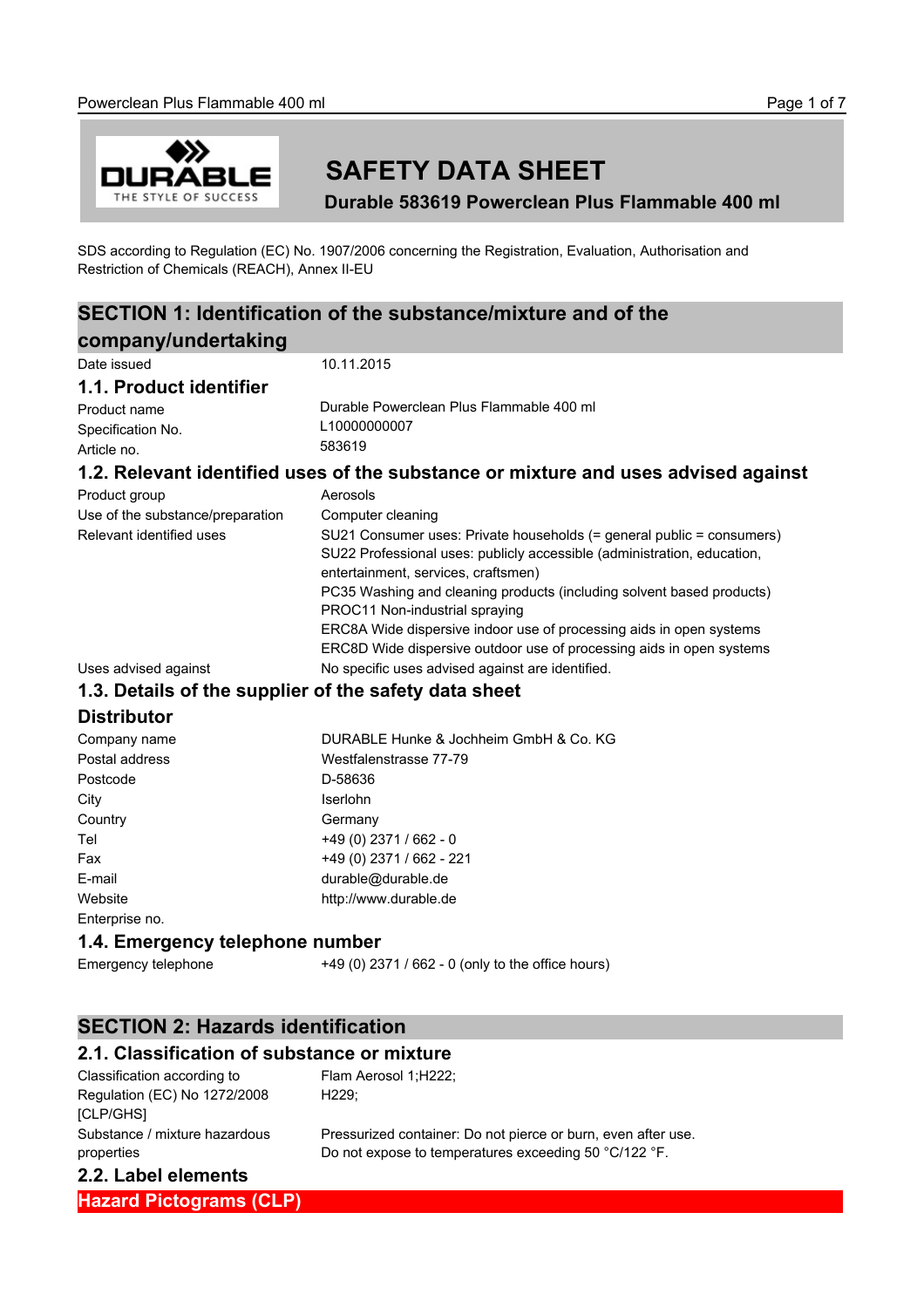

# **SAFETY DATA SHEET**

**Durable 583619 Powerclean Plus Flammable 400 ml**

SDS according to Regulation (EC) No. 1907/2006 concerning the Registration, Evaluation, Authorisation and Restriction of Chemicals (REACH), Annex II-EU

## **SECTION 1: Identification of the substance/mixture and of the company/undertaking**

| company/undertaking              |                                                                                                                                                                                         |
|----------------------------------|-----------------------------------------------------------------------------------------------------------------------------------------------------------------------------------------|
| Date issued                      | 10.11.2015                                                                                                                                                                              |
| 1.1. Product identifier          |                                                                                                                                                                                         |
| Product name                     | Durable Powerclean Plus Flammable 400 ml                                                                                                                                                |
| Specification No.                | L10000000007                                                                                                                                                                            |
| Article no.                      | 583619                                                                                                                                                                                  |
|                                  | 1.2. Relevant identified uses of the substance or mixture and uses advised against                                                                                                      |
| Product group                    | Aerosols                                                                                                                                                                                |
| Use of the substance/preparation | Computer cleaning                                                                                                                                                                       |
| Relevant identified uses         | SU21 Consumer uses: Private households (= general public = consumers)<br>SU22 Professional uses: publicly accessible (administration, education,<br>entertainment, services, craftsmen) |
|                                  | PC35 Washing and cleaning products (including solvent based products)<br>PROC11 Non-industrial spraying                                                                                 |
|                                  | ERC8A Wide dispersive indoor use of processing aids in open systems<br>ERC8D Wide dispersive outdoor use of processing aids in open systems                                             |
| Uses advised against             | No specific uses advised against are identified.                                                                                                                                        |
|                                  | 1.3. Details of the supplier of the safety data sheet                                                                                                                                   |
| <b>Distributor</b>               |                                                                                                                                                                                         |
| Company name                     | DURABLE Hunke & Jochheim GmbH & Co. KG                                                                                                                                                  |
| Postal address                   | Westfalenstrasse 77-79                                                                                                                                                                  |
| Postcode                         | D-58636                                                                                                                                                                                 |
| City                             | Iserlohn                                                                                                                                                                                |
| Country                          | Germany                                                                                                                                                                                 |
| Tel                              | +49 (0) 2371 / 662 - 0                                                                                                                                                                  |
| Fax                              | +49 (0) 2371 / 662 - 221                                                                                                                                                                |
| E-mail                           | durable@durable.de                                                                                                                                                                      |
| Website                          | http://www.durable.de                                                                                                                                                                   |
| Enterprise no.                   |                                                                                                                                                                                         |
| 1.4. Emergency telephone number  |                                                                                                                                                                                         |
| Emergency telephone              | +49 (0) 2371 / 662 - 0 (only to the office hours)                                                                                                                                       |

#### **SECTION 2: Hazards identification**

#### **2.1. Classification of substance or mixture**

Flam Aerosol 1;H222;

H229;

| Classification according to   |  |
|-------------------------------|--|
| Regulation (EC) No 1272/2008  |  |
| [CLP/GHS]                     |  |
| Substance / mixture hazardous |  |
| properties                    |  |

Pressurized container: Do not pierce or burn, even after use. Do not expose to temperatures exceeding 50 °C/122 °F.

#### **2.2. Label elements**

**Hazard Pictograms (CLP)**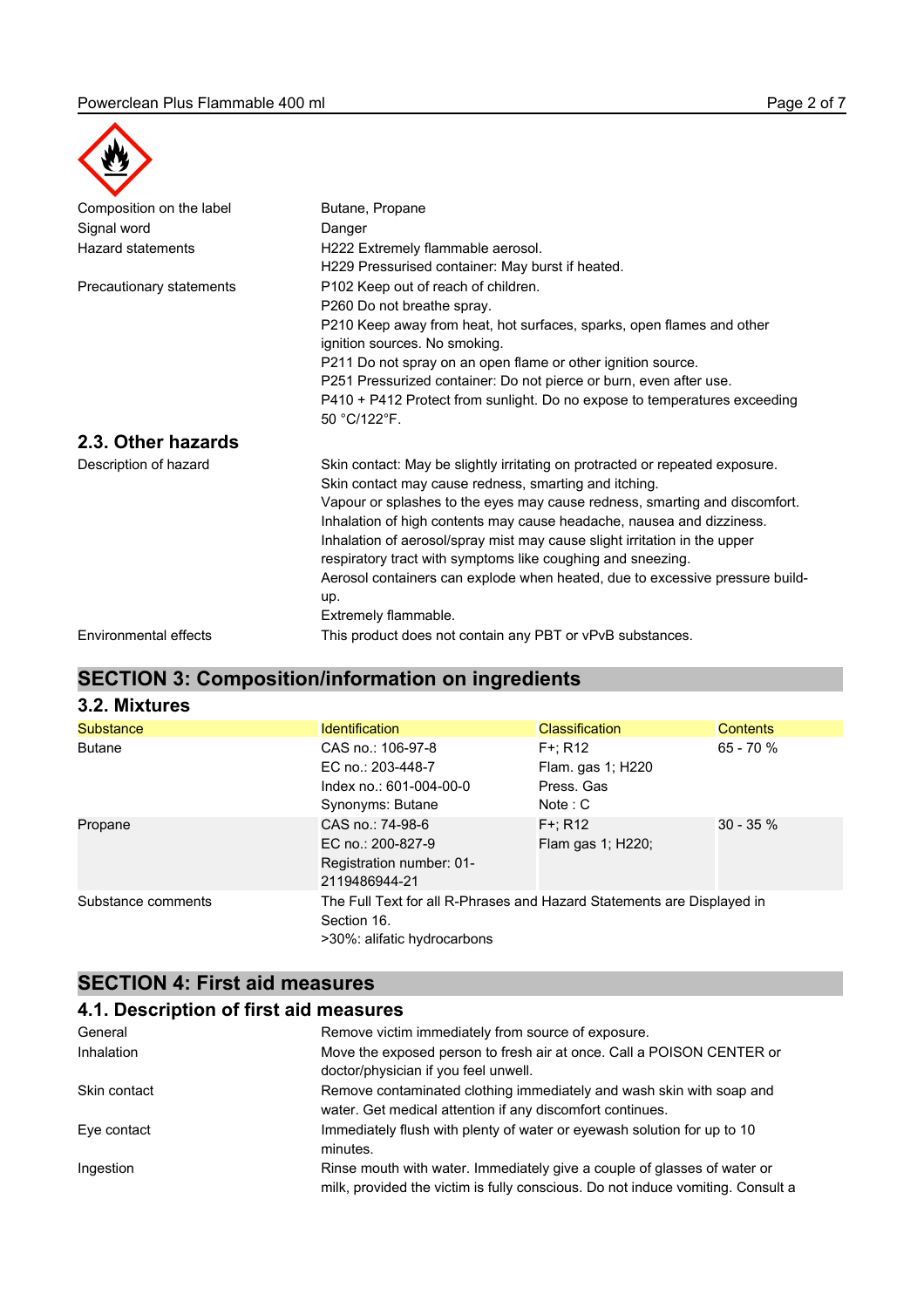

| $\boldsymbol{\mathcal{F}}$ |                                                                                                        |  |
|----------------------------|--------------------------------------------------------------------------------------------------------|--|
| Composition on the label   | Butane, Propane                                                                                        |  |
| Signal word                | Danger                                                                                                 |  |
| <b>Hazard statements</b>   | H222 Extremely flammable aerosol.                                                                      |  |
|                            | H229 Pressurised container: May burst if heated.                                                       |  |
| Precautionary statements   | P102 Keep out of reach of children.                                                                    |  |
|                            | P260 Do not breathe spray.                                                                             |  |
|                            | P210 Keep away from heat, hot surfaces, sparks, open flames and other<br>ignition sources. No smoking. |  |
|                            | P211 Do not spray on an open flame or other ignition source.                                           |  |
|                            | P251 Pressurized container: Do not pierce or burn, even after use.                                     |  |
|                            | P410 + P412 Protect from sunlight. Do no expose to temperatures exceeding                              |  |
|                            | 50 °C/122°F.                                                                                           |  |
| 2.3. Other hazards         |                                                                                                        |  |
| Description of hazard      | Skin contact: May be slightly irritating on protracted or repeated exposure.                           |  |
|                            | Skin contact may cause redness, smarting and itching.                                                  |  |
|                            | Vapour or splashes to the eyes may cause redness, smarting and discomfort.                             |  |
|                            | Inhalation of high contents may cause headache, nausea and dizziness.                                  |  |
|                            | Inhalation of aerosol/spray mist may cause slight irritation in the upper                              |  |
|                            | respiratory tract with symptoms like coughing and sneezing.                                            |  |
|                            | Aerosol containers can explode when heated, due to excessive pressure build-                           |  |
|                            | up.                                                                                                    |  |
|                            | Extremely flammable.                                                                                   |  |
| Environmental effects      | This product does not contain any PBT or vPvB substances.                                              |  |

## **SECTION 3: Composition/information on ingredients**

| 3.2. Mixtures      |                                                                                                                      |                                                          |                 |
|--------------------|----------------------------------------------------------------------------------------------------------------------|----------------------------------------------------------|-----------------|
| <b>Substance</b>   | <b>Identification</b>                                                                                                | <b>Classification</b>                                    | <b>Contents</b> |
| <b>Butane</b>      | CAS no.: 106-97-8<br>EC no.: 203-448-7<br>Index no.: 601-004-00-0<br>Synonyms: Butane                                | $F +: R12$<br>Flam. gas 1; H220<br>Press, Gas<br>Note: C | $65 - 70%$      |
| Propane            | CAS no.: 74-98-6<br>EC no.: 200-827-9<br>Registration number: 01-<br>2119486944-21                                   | $F +: R12$<br>Flam gas 1; H220;                          | $30 - 35 \%$    |
| Substance comments | The Full Text for all R-Phrases and Hazard Statements are Displayed in<br>Section 16.<br>>30%: alifatic hydrocarbons |                                                          |                 |

## **SECTION 4: First aid measures**

#### **4.1. Description of first aid measures**

| General      | Remove victim immediately from source of exposure.                                                                                                          |
|--------------|-------------------------------------------------------------------------------------------------------------------------------------------------------------|
| Inhalation   | Move the exposed person to fresh air at once. Call a POISON CENTER or<br>doctor/physician if you feel unwell.                                               |
| Skin contact | Remove contaminated clothing immediately and wash skin with soap and<br>water. Get medical attention if any discomfort continues.                           |
| Eye contact  | Immediately flush with plenty of water or eyewash solution for up to 10<br>minutes.                                                                         |
| Ingestion    | Rinse mouth with water. Immediately give a couple of glasses of water or<br>milk, provided the victim is fully conscious. Do not induce vomiting. Consult a |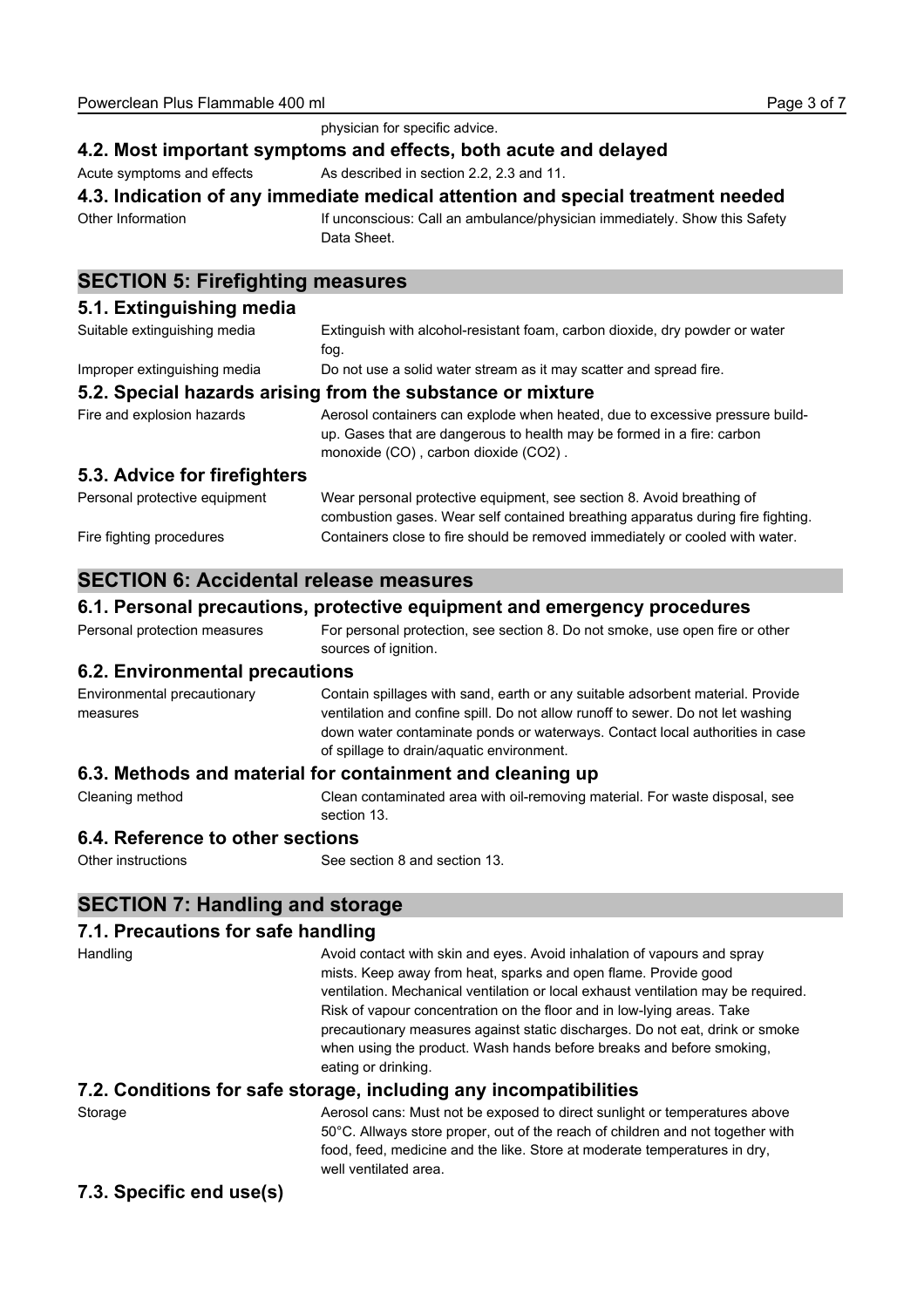|                                                                                 | physician for specific advice.                                                                                                                                                                 |  |  |
|---------------------------------------------------------------------------------|------------------------------------------------------------------------------------------------------------------------------------------------------------------------------------------------|--|--|
| 4.2. Most important symptoms and effects, both acute and delayed                |                                                                                                                                                                                                |  |  |
| Acute symptoms and effects                                                      | As described in section 2.2, 2.3 and 11.                                                                                                                                                       |  |  |
| 4.3. Indication of any immediate medical attention and special treatment needed |                                                                                                                                                                                                |  |  |
| Other Information                                                               | If unconscious: Call an ambulance/physician immediately. Show this Safety<br>Data Sheet.                                                                                                       |  |  |
| <b>SECTION 5: Firefighting measures</b>                                         |                                                                                                                                                                                                |  |  |
| 5.1. Extinguishing media                                                        |                                                                                                                                                                                                |  |  |
| Suitable extinguishing media                                                    | Extinguish with alcohol-resistant foam, carbon dioxide, dry powder or water<br>fog.                                                                                                            |  |  |
| Improper extinguishing media                                                    | Do not use a solid water stream as it may scatter and spread fire.                                                                                                                             |  |  |
| 5.2. Special hazards arising from the substance or mixture                      |                                                                                                                                                                                                |  |  |
| Fire and explosion hazards                                                      | Aerosol containers can explode when heated, due to excessive pressure build-<br>up. Gases that are dangerous to health may be formed in a fire: carbon<br>monoxide (CO), carbon dioxide (CO2). |  |  |
| 5.3. Advice for firefighters                                                    |                                                                                                                                                                                                |  |  |
| Personal protective equipment                                                   | Wear personal protective equipment, see section 8. Avoid breathing of<br>combustion gases. Wear self contained breathing apparatus during fire fighting.                                       |  |  |
| Fire fighting procedures                                                        | Containers close to fire should be removed immediately or cooled with water.                                                                                                                   |  |  |

#### **SECTION 6: Accidental release measures**

#### **6.1. Personal precautions, protective equipment and emergency procedures**

| Personal protection measures | For personal protection, see section 8. Do not smoke, use open fire or other |
|------------------------------|------------------------------------------------------------------------------|
|                              | sources of ignition.                                                         |

#### **6.2. Environmental precautions**

| Environmental precautionary                               | Contain spillages with sand, earth or any suitable adsorbent material. Provide                                                                                                                               |  |
|-----------------------------------------------------------|--------------------------------------------------------------------------------------------------------------------------------------------------------------------------------------------------------------|--|
| measures                                                  | ventilation and confine spill. Do not allow runoff to sewer. Do not let washing<br>down water contaminate ponds or waterways. Contact local authorities in case<br>of spillage to drain/aguatic environment. |  |
| 6.3. Methods and material for containment and cleaning up |                                                                                                                                                                                                              |  |

Cleaning method Clean contaminated area with oil-removing material. For waste disposal, see section 13.

#### **6.4. Reference to other sections**

Other instructions See section 8 and section 13.

## **SECTION 7: Handling and storage**

#### **7.1. Precautions for safe handling**

| Handling | Avoid contact with skin and eyes. Avoid inhalation of vapours and spray                                                                                                                                                                                            |
|----------|--------------------------------------------------------------------------------------------------------------------------------------------------------------------------------------------------------------------------------------------------------------------|
|          | mists. Keep away from heat, sparks and open flame. Provide good                                                                                                                                                                                                    |
|          | ventilation. Mechanical ventilation or local exhaust ventilation may be required.                                                                                                                                                                                  |
|          | Risk of vapour concentration on the floor and in low-lying areas. Take                                                                                                                                                                                             |
|          | precautionary measures against static discharges. Do not eat, drink or smoke<br>when using the product. Wash hands before breaks and before smoking,                                                                                                               |
|          | eating or drinking.                                                                                                                                                                                                                                                |
|          | 7.2. Conditions for safe storage, including any incompatibilities                                                                                                                                                                                                  |
| Storage  | Aerosol cans: Must not be exposed to direct sunlight or temperatures above<br>50°C. Allways store proper, out of the reach of children and not together with<br>food, feed, medicine and the like. Store at moderate temperatures in dry,<br>well ventilated area. |

#### **7.3. Specific end use(s)**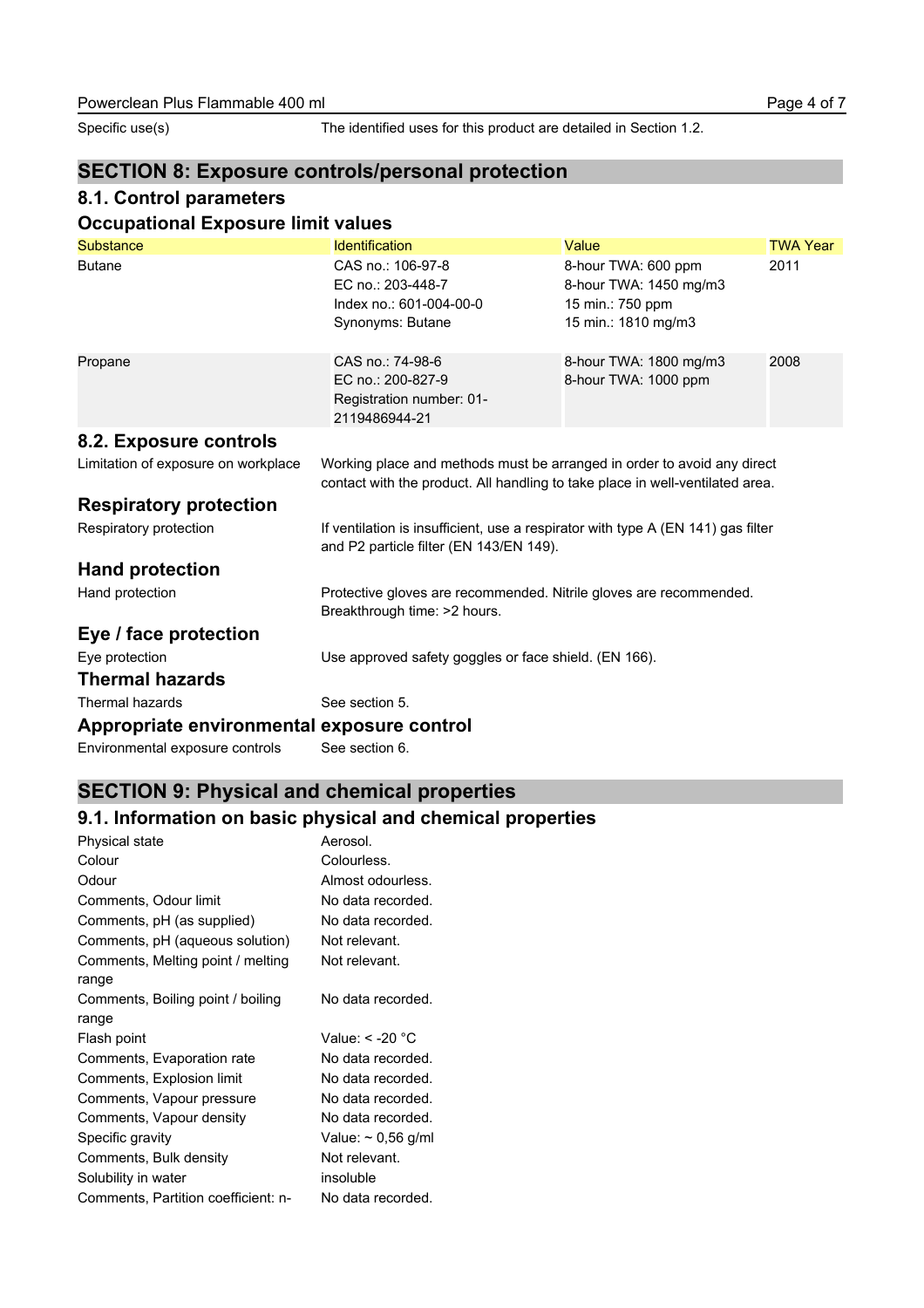Specific use(s) The identified uses for this product are detailed in Section 1.2.

### **SECTION 8: Exposure controls/personal protection**

#### **8.1. Control parameters**

#### **Occupational Exposure limit values**

| <b>Substance</b>                           | <b>Identification</b>                                                                                                                                    | Value                                                                                    | <b>TWA Year</b> |
|--------------------------------------------|----------------------------------------------------------------------------------------------------------------------------------------------------------|------------------------------------------------------------------------------------------|-----------------|
| <b>Butane</b>                              | CAS no.: 106-97-8<br>EC no.: 203-448-7<br>Index no.: 601-004-00-0<br>Synonyms: Butane                                                                    | 8-hour TWA: 600 ppm<br>8-hour TWA: 1450 mg/m3<br>15 min.: 750 ppm<br>15 min.: 1810 mg/m3 | 2011            |
| Propane                                    | CAS no.: 74-98-6<br>EC no.: 200-827-9<br>Registration number: 01-<br>2119486944-21                                                                       | 8-hour TWA: 1800 mg/m3<br>8-hour TWA: 1000 ppm                                           | 2008            |
| 8.2. Exposure controls                     |                                                                                                                                                          |                                                                                          |                 |
| Limitation of exposure on workplace        | Working place and methods must be arranged in order to avoid any direct<br>contact with the product. All handling to take place in well-ventilated area. |                                                                                          |                 |
| <b>Respiratory protection</b>              |                                                                                                                                                          |                                                                                          |                 |
| Respiratory protection                     | If ventilation is insufficient, use a respirator with type A (EN 141) gas filter<br>and P2 particle filter (EN 143/EN 149).                              |                                                                                          |                 |
| <b>Hand protection</b>                     |                                                                                                                                                          |                                                                                          |                 |
| Hand protection                            | Protective gloves are recommended. Nitrile gloves are recommended.<br>Breakthrough time: >2 hours.                                                       |                                                                                          |                 |
| Eye / face protection                      |                                                                                                                                                          |                                                                                          |                 |
| Eye protection                             | Use approved safety goggles or face shield. (EN 166).                                                                                                    |                                                                                          |                 |
| <b>Thermal hazards</b>                     |                                                                                                                                                          |                                                                                          |                 |
| Thermal hazards                            | See section 5.                                                                                                                                           |                                                                                          |                 |
| Appropriate environmental exposure control |                                                                                                                                                          |                                                                                          |                 |
| Environmental exposure controls            | See section 6.                                                                                                                                           |                                                                                          |                 |

## **SECTION 9: Physical and chemical properties**

### **9.1. Information on basic physical and chemical properties**

| <b>Physical state</b>                      | Aerosol.                |
|--------------------------------------------|-------------------------|
| Colour                                     | Colourless.             |
| Odour                                      | Almost odourless.       |
| Comments, Odour limit                      | No data recorded.       |
| Comments, pH (as supplied)                 | No data recorded.       |
| Comments, pH (aqueous solution)            | Not relevant.           |
| Comments, Melting point / melting<br>range | Not relevant.           |
| Comments, Boiling point / boiling<br>range | No data recorded.       |
| Flash point                                | Value: < -20 °C         |
| Comments, Evaporation rate                 | No data recorded.       |
| Comments, Explosion limit                  | No data recorded.       |
| Comments, Vapour pressure                  | No data recorded.       |
| Comments, Vapour density                   | No data recorded.       |
| Specific gravity                           | Value: $\sim$ 0,56 g/ml |
| Comments, Bulk density                     | Not relevant.           |
| Solubility in water                        | insoluble               |
| Comments, Partition coefficient: n-        | No data recorded.       |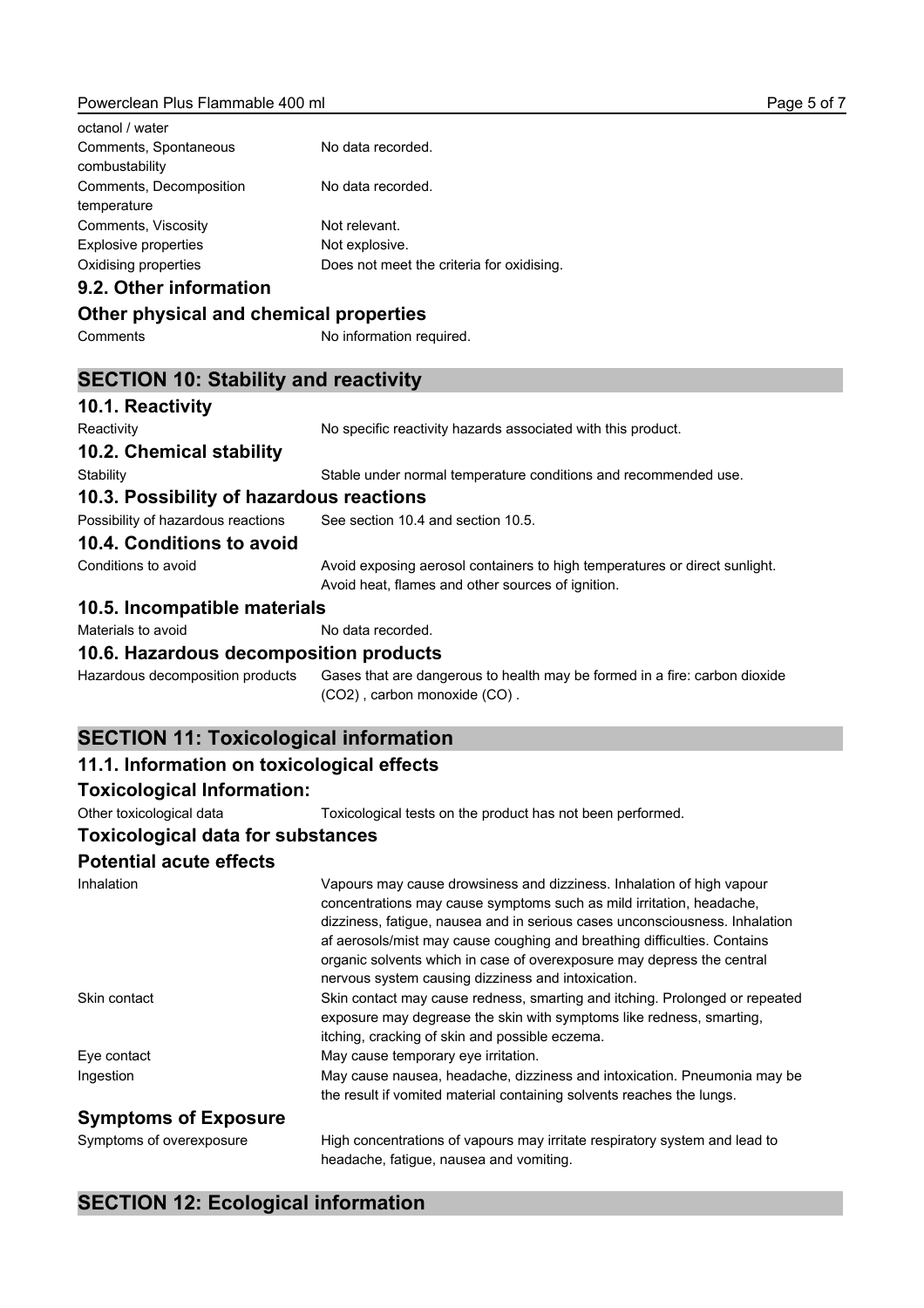#### Powerclean Plus Flammable 400 ml

| octanol / water                         |                                           |
|-----------------------------------------|-------------------------------------------|
| Comments, Spontaneous<br>combustability | No data recorded.                         |
| Comments, Decomposition<br>temperature  | No data recorded.                         |
| Comments, Viscosity                     | Not relevant.                             |
| Explosive properties                    | Not explosive.                            |
| Oxidising properties                    | Does not meet the criteria for oxidising. |

#### **9.2. Other information**

#### **Other physical and chemical properties**

Comments No information required.

#### **SECTION 10: Stability and reactivity**

| 10.1. Reactivity                             |                                                                                                                                                                                                                                                                                                                                                                                                                                          |
|----------------------------------------------|------------------------------------------------------------------------------------------------------------------------------------------------------------------------------------------------------------------------------------------------------------------------------------------------------------------------------------------------------------------------------------------------------------------------------------------|
| Reactivity                                   | No specific reactivity hazards associated with this product.                                                                                                                                                                                                                                                                                                                                                                             |
| 10.2. Chemical stability                     |                                                                                                                                                                                                                                                                                                                                                                                                                                          |
| Stability                                    | Stable under normal temperature conditions and recommended use.                                                                                                                                                                                                                                                                                                                                                                          |
| 10.3. Possibility of hazardous reactions     |                                                                                                                                                                                                                                                                                                                                                                                                                                          |
| Possibility of hazardous reactions           | See section 10.4 and section 10.5.                                                                                                                                                                                                                                                                                                                                                                                                       |
| 10.4. Conditions to avoid                    |                                                                                                                                                                                                                                                                                                                                                                                                                                          |
| Conditions to avoid                          | Avoid exposing aerosol containers to high temperatures or direct sunlight.<br>Avoid heat, flames and other sources of ignition.                                                                                                                                                                                                                                                                                                          |
| 10.5. Incompatible materials                 |                                                                                                                                                                                                                                                                                                                                                                                                                                          |
| Materials to avoid                           | No data recorded.                                                                                                                                                                                                                                                                                                                                                                                                                        |
| 10.6. Hazardous decomposition products       |                                                                                                                                                                                                                                                                                                                                                                                                                                          |
| Hazardous decomposition products             | Gases that are dangerous to health may be formed in a fire: carbon dioxide<br>(CO2), carbon monoxide (CO).                                                                                                                                                                                                                                                                                                                               |
| <b>SECTION 11: Toxicological information</b> |                                                                                                                                                                                                                                                                                                                                                                                                                                          |
| 11.1. Information on toxicological effects   |                                                                                                                                                                                                                                                                                                                                                                                                                                          |
| <b>Toxicological Information:</b>            |                                                                                                                                                                                                                                                                                                                                                                                                                                          |
| Other toxicological data                     | Toxicological tests on the product has not been performed.                                                                                                                                                                                                                                                                                                                                                                               |
| <b>Toxicological data for substances</b>     |                                                                                                                                                                                                                                                                                                                                                                                                                                          |
| <b>Potential acute effects</b>               |                                                                                                                                                                                                                                                                                                                                                                                                                                          |
| Inhalation                                   | Vapours may cause drowsiness and dizziness. Inhalation of high vapour<br>concentrations may cause symptoms such as mild irritation, headache,<br>dizziness, fatigue, nausea and in serious cases unconsciousness. Inhalation<br>af aerosols/mist may cause coughing and breathing difficulties. Contains<br>organic solvents which in case of overexposure may depress the central<br>nervous system causing dizziness and intoxication. |
| Skin contact                                 | Skin contact may cause redness, smarting and itching. Prolonged or repeated<br>exposure may degrease the skin with symptoms like redness, smarting,                                                                                                                                                                                                                                                                                      |

Eye contact **Exercise 20** May cause temporary eye irritation. Ingestion May cause nausea, headache, dizziness and intoxication. Pneumonia may be

#### **Symptoms of Exposure**

Symptoms of overexposure High concentrations of vapours may irritate respiratory system and lead to headache, fatigue, nausea and vomiting.

itching, cracking of skin and possible eczema.

the result if vomited material containing solvents reaches the lungs.

## **SECTION 12: Ecological information**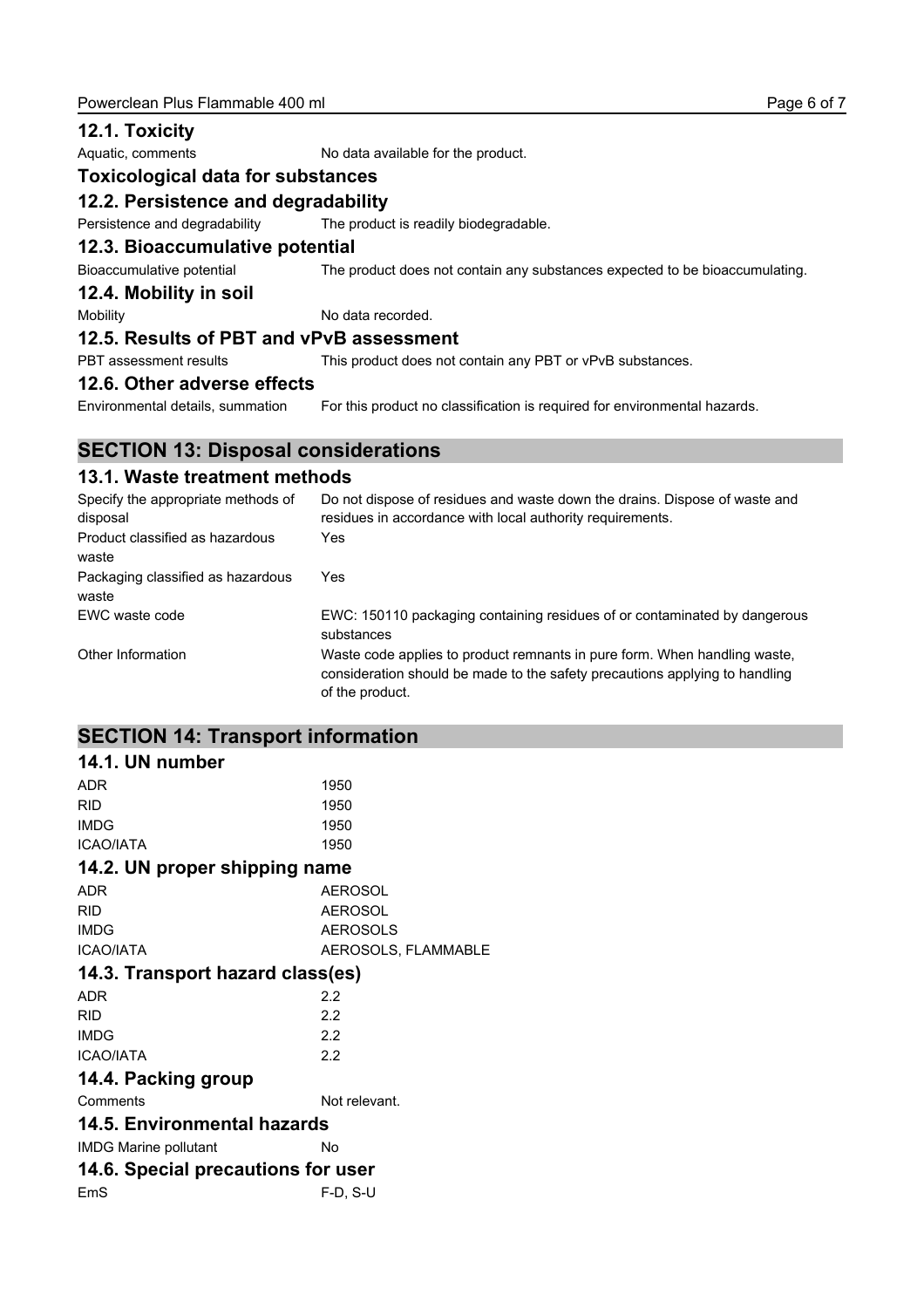#### **12.1. Toxicity**

Aquatic, comments No data available for the product.

## **Toxicological data for substances**

#### **12.2. Persistence and degradability**

Persistence and degradability The product is readily biodegradable.

#### **12.3. Bioaccumulative potential**

Bioaccumulative potential The product does not contain any substances expected to be bioaccumulating.

#### **12.4. Mobility in soil**

Mobility Mobility No data recorded.

#### **12.5. Results of PBT and vPvB assessment**

PBT assessment results This product does not contain any PBT or vPvB substances.

#### **12.6. Other adverse effects**

Environmental details, summation For this product no classification is required for environmental hazards.

#### **SECTION 13: Disposal considerations**

#### **13.1. Waste treatment methods**

| Specify the appropriate methods of<br>disposal | Do not dispose of residues and waste down the drains. Dispose of waste and<br>residues in accordance with local authority requirements.                                     |
|------------------------------------------------|-----------------------------------------------------------------------------------------------------------------------------------------------------------------------------|
| Product classified as hazardous<br>waste       | Yes                                                                                                                                                                         |
| Packaging classified as hazardous<br>waste     | Yes                                                                                                                                                                         |
| EWC waste code                                 | EWC: 150110 packaging containing residues of or contaminated by dangerous<br>substances                                                                                     |
| Other Information                              | Waste code applies to product remnants in pure form. When handling waste,<br>consideration should be made to the safety precautions applying to handling<br>of the product. |

#### **SECTION 14: Transport information**

| 14.1. UN number                    |                     |
|------------------------------------|---------------------|
| <b>ADR</b>                         | 1950                |
| <b>RID</b>                         | 1950                |
| <b>IMDG</b>                        | 1950                |
| <b>ICAO/IATA</b>                   | 1950                |
| 14.2. UN proper shipping name      |                     |
| <b>ADR</b>                         | <b>AEROSOL</b>      |
| <b>RID</b>                         | <b>AEROSOL</b>      |
| <b>IMDG</b>                        | <b>AEROSOLS</b>     |
| <b>ICAO/IATA</b>                   | AEROSOLS, FLAMMABLE |
| 14.3. Transport hazard class(es)   |                     |
| <b>ADR</b>                         | 2.2                 |
| <b>RID</b>                         | 2.2                 |
| <b>IMDG</b>                        | 2.2                 |
| <b>ICAO/IATA</b>                   | 2.2                 |
| 14.4. Packing group                |                     |
| Comments                           | Not relevant.       |
| 14.5. Environmental hazards        |                     |
| <b>IMDG Marine pollutant</b>       | No                  |
| 14.6. Special precautions for user |                     |
| EmS                                | F-D. S-U            |
|                                    |                     |